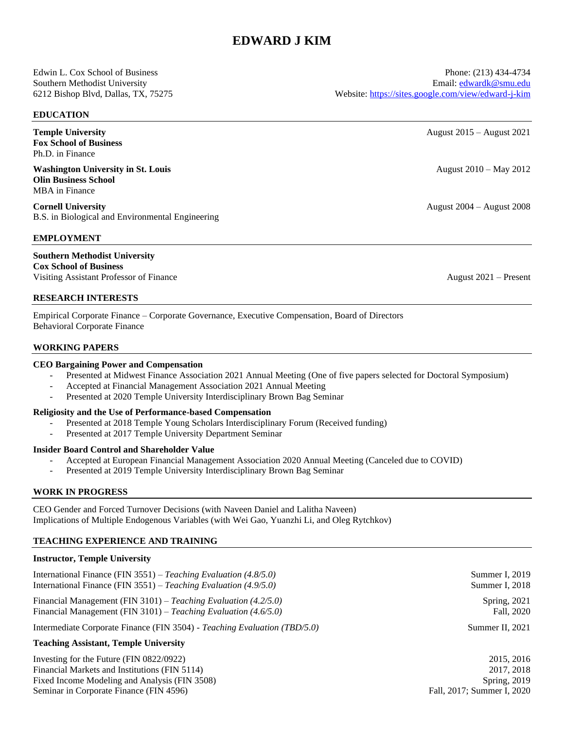# Edwin L. Cox School of Business Phone: (213) 434-4734

## **EDUCATION**

**Fox School of Business** Ph.D. in Finance

**Washington University in St. Louis** August 2010 – May 2012 **Olin Business School** MBA in Finance

**Cornell University** August 2004 – August 2008 B.S. in Biological and Environmental Engineering

# **EMPLOYMENT**

**Southern Methodist University Cox School of Business** Visiting Assistant Professor of Finance August 2021 – Present

## **RESEARCH INTERESTS**

Empirical Corporate Finance – Corporate Governance, Executive Compensation, Board of Directors Behavioral Corporate Finance

## **WORKING PAPERS**

## **CEO Bargaining Power and Compensation**

- Presented at Midwest Finance Association 2021 Annual Meeting (One of five papers selected for Doctoral Symposium)
- Accepted at Financial Management Association 2021 Annual Meeting
- Presented at 2020 Temple University Interdisciplinary Brown Bag Seminar

## **Religiosity and the Use of Performance-based Compensation**

- Presented at 2018 Temple Young Scholars Interdisciplinary Forum (Received funding)
- Presented at 2017 Temple University Department Seminar

## **Insider Board Control and Shareholder Value**

- Accepted at European Financial Management Association 2020 Annual Meeting (Canceled due to COVID)
- Presented at 2019 Temple University Interdisciplinary Brown Bag Seminar

# **WORK IN PROGRESS**

CEO Gender and Forced Turnover Decisions (with Naveen Daniel and Lalitha Naveen) Implications of Multiple Endogenous Variables (with Wei Gao, Yuanzhi Li, and Oleg Rytchkov)

## **TEACHING EXPERIENCE AND TRAINING**

#### **Instructor, Temple University**

| International Finance (FIN 3551) – Teaching Evaluation $(4.8/5.0)$        | Summer I, 2019  |
|---------------------------------------------------------------------------|-----------------|
| International Finance (FIN 3551) – Teaching Evaluation $(4.9/5.0)$        | Summer I, 2018  |
| Financial Management (FIN 3101) – Teaching Evaluation $(4.2/5.0)$         | Spring, 2021    |
| Financial Management (FIN 3101) – Teaching Evaluation $(4.6/5.0)$         | Fall, 2020      |
| Intermediate Corporate Finance (FIN 3504) - Teaching Evaluation (TBD/5.0) | Summer II, 2021 |
| <b>Teaching Assistant, Temple University</b>                              |                 |
| Investing for the Future (FIN 0822/0922)                                  | 2015, 2016      |
| Financial Markets and Institutions (FIN 5114)                             | 2017, 2018      |
| Fixed Income Modeling and Analysis (FIN 3508)                             | Spring, 2019    |

Southern Methodist University Email[: edwardk@smu.edu](mailto:edwardk@smu.edu) 6212 Bishop Blvd, Dallas, TX, 75275 Website[: https://sites.google.com/view/edward-j-kim](https://sites.google.com/view/edward-j-kim)

**Temple University** August 2015 – August 2021

Seminar in Corporate Finance (FIN 4596) Fall, 2017; Summer I, 2020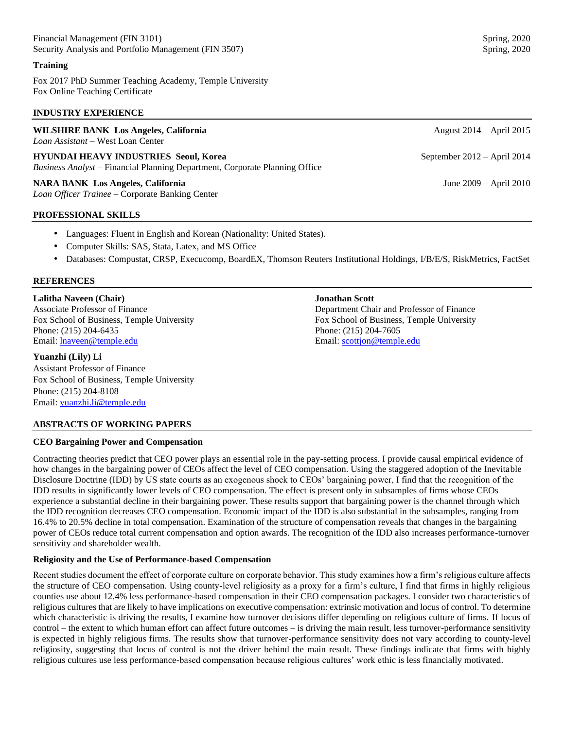Financial Management (FIN 3101) Spring, 2020 Security Analysis and Portfolio Management (FIN 3507) Spring, 2020

# **Training**

Fox 2017 PhD Summer Teaching Academy, Temple University Fox Online Teaching Certificate

## **INDUSTRY EXPERIENCE**

| <b>WILSHIRE BANK Los Angeles, California</b><br><i>Loan Assistant</i> – West Loan Center                                    | August $2014 -$ April $2015$  |
|-----------------------------------------------------------------------------------------------------------------------------|-------------------------------|
| <b>HYUNDAI HEAVY INDUSTRIES Seoul, Korea</b><br>Business Analyst – Financial Planning Department, Corporate Planning Office | September $2012 - April 2014$ |
| <b>NARA BANK Los Angeles, California</b><br>Loan Officer Trainee - Corporate Banking Center                                 | June $2009 -$ April $2010$    |

## **PROFESSIONAL SKILLS**

- Languages: Fluent in English and Korean (Nationality: United States).
- Computer Skills: SAS, Stata, Latex, and MS Office
- Databases: Compustat, CRSP, Execucomp, BoardEX, Thomson Reuters Institutional Holdings, I/B/E/S, RiskMetrics, FactSet

# **REFERENCES**

**Lalitha Naveen (Chair) Jonathan Scott** Associate Professor of Finance Department Chair and Professor of Finance Fox School of Business, Temple University Fox School of Business, Temple University Phone: (215) 204-6435 Phone: (215) 204-7605 Email: <u>[lnaveen@temple.edu](mailto:lnaveen@temple.edu)</u> Email: [scottjon@temple.edu](mailto:scottjon@temple.edu) Email: scottjon@temple.edu

# **Yuanzhi (Lily) Li**

Assistant Professor of Finance Fox School of Business, Temple University Phone: (215) 204-8108 Email: [yuanzhi.li@temple.edu](mailto:yuanzhi.li@temple.edu)

# **ABSTRACTS OF WORKING PAPERS**

# **CEO Bargaining Power and Compensation**

Contracting theories predict that CEO power plays an essential role in the pay-setting process. I provide causal empirical evidence of how changes in the bargaining power of CEOs affect the level of CEO compensation. Using the staggered adoption of the Inevitable Disclosure Doctrine (IDD) by US state courts as an exogenous shock to CEOs' bargaining power, I find that the recognition of the IDD results in significantly lower levels of CEO compensation. The effect is present only in subsamples of firms whose CEOs experience a substantial decline in their bargaining power. These results support that bargaining power is the channel through which the IDD recognition decreases CEO compensation. Economic impact of the IDD is also substantial in the subsamples, ranging from 16.4% to 20.5% decline in total compensation. Examination of the structure of compensation reveals that changes in the bargaining power of CEOs reduce total current compensation and option awards. The recognition of the IDD also increases performance-turnover sensitivity and shareholder wealth.

# **Religiosity and the Use of Performance-based Compensation**

Recent studies document the effect of corporate culture on corporate behavior. This study examines how a firm's religious culture affects the structure of CEO compensation. Using county-level religiosity as a proxy for a firm's culture, I find that firms in highly religious counties use about 12.4% less performance-based compensation in their CEO compensation packages. I consider two characteristics of religious cultures that are likely to have implications on executive compensation: extrinsic motivation and locus of control. To determine which characteristic is driving the results, I examine how turnover decisions differ depending on religious culture of firms. If locus of control – the extent to which human effort can affect future outcomes – is driving the main result, less turnover-performance sensitivity is expected in highly religious firms. The results show that turnover-performance sensitivity does not vary according to county-level religiosity, suggesting that locus of control is not the driver behind the main result. These findings indicate that firms with highly religious cultures use less performance-based compensation because religious cultures' work ethic is less financially motivated.